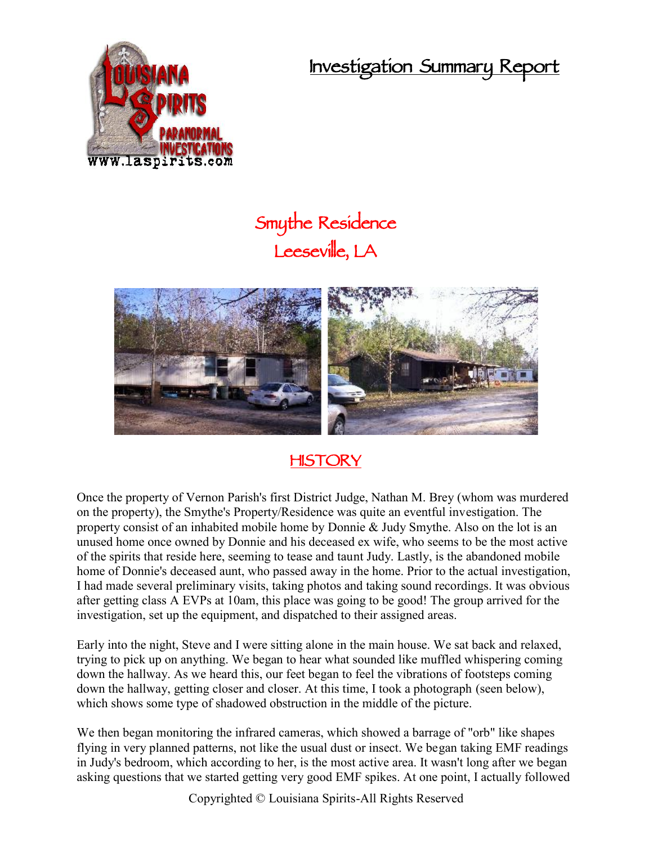**Investigation Summary Report**



## **Smythe Residence Leeseville, LA**



## **HISTORY**

Once the property of Vernon Parish's first District Judge, Nathan M. Brey (whom was murdered on the property), the Smythe's Property/Residence was quite an eventful investigation. The property consist of an inhabited mobile home by Donnie & Judy Smythe. Also on the lot is an unused home once owned by Donnie and his deceased ex wife, who seems to be the most active of the spirits that reside here, seeming to tease and taunt Judy. Lastly, is the abandoned mobile home of Donnie's deceased aunt, who passed away in the home. Prior to the actual investigation, I had made several preliminary visits, taking photos and taking sound recordings. It was obvious after getting class A EVPs at 10am, this place was going to be good! The group arrived for the investigation, set up the equipment, and dispatched to their assigned areas.

Early into the night, Steve and I were sitting alone in the main house. We sat back and relaxed, trying to pick up on anything. We began to hear what sounded like muffled whispering coming down the hallway. As we heard this, our feet began to feel the vibrations of footsteps coming down the hallway, getting closer and closer. At this time, I took a photograph (seen below), which shows some type of shadowed obstruction in the middle of the picture.

We then began monitoring the infrared cameras, which showed a barrage of "orb" like shapes flying in very planned patterns, not like the usual dust or insect. We began taking EMF readings in Judy's bedroom, which according to her, is the most active area. It wasn't long after we began asking questions that we started getting very good EMF spikes. At one point, I actually followed

Copyrighted © Louisiana Spirits-All Rights Reserved